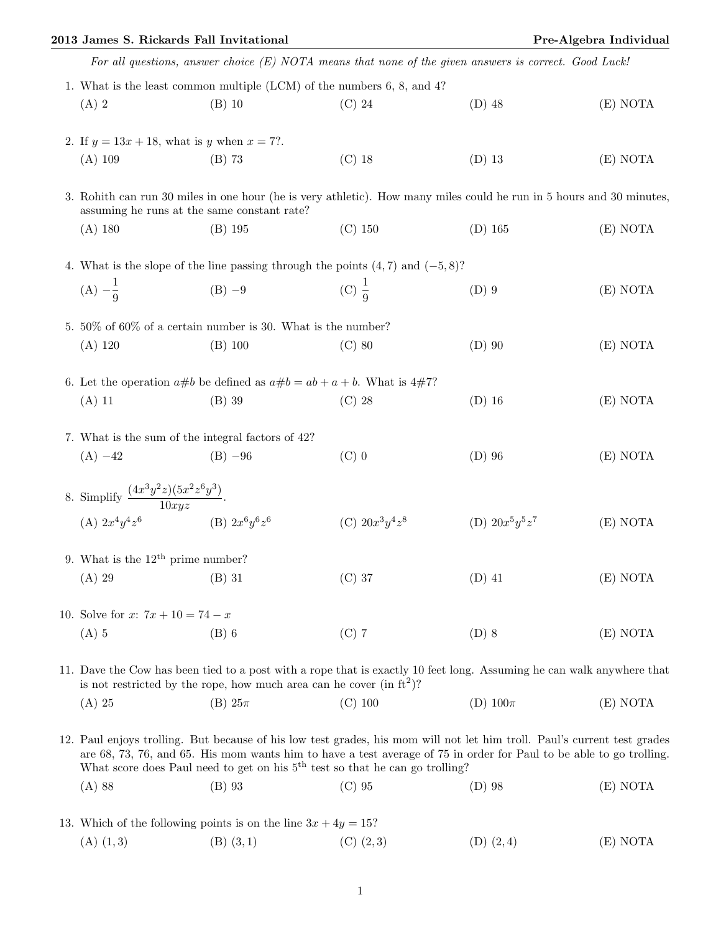## 2013 James S. Rickards Fall Invitational **Pre-Algebra Individual** Pre-Algebra Individual

|                                                                                                                                                                                                  | For all questions, answer choice $(E)$ NOTA means that none of the given answers is correct. Good Luck! |                                                                                                                          |                   |          |  |
|--------------------------------------------------------------------------------------------------------------------------------------------------------------------------------------------------|---------------------------------------------------------------------------------------------------------|--------------------------------------------------------------------------------------------------------------------------|-------------------|----------|--|
| 1. What is the least common multiple (LCM) of the numbers 6, 8, and 4?                                                                                                                           |                                                                                                         |                                                                                                                          |                   |          |  |
| $(A)$ 2                                                                                                                                                                                          | $(B)$ 10                                                                                                | $(C)$ 24                                                                                                                 | $(D)$ 48          | (E) NOTA |  |
| 2. If $y = 13x + 18$ , what is y when $x = 7$ ?.                                                                                                                                                 |                                                                                                         |                                                                                                                          |                   |          |  |
| $(A)$ 109                                                                                                                                                                                        | $(B)$ 73                                                                                                | $(C)$ 18                                                                                                                 | $(D)$ 13          | (E) NOTA |  |
| 3. Rohith can run 30 miles in one hour (he is very athletic). How many miles could he run in 5 hours and 30 minutes,<br>assuming he runs at the same constant rate?                              |                                                                                                         |                                                                                                                          |                   |          |  |
| $(A)$ 180                                                                                                                                                                                        | $(B)$ 195                                                                                               | $(C)$ 150                                                                                                                | $(D)$ 165         | (E) NOTA |  |
| 4. What is the slope of the line passing through the points $(4,7)$ and $(-5,8)$ ?                                                                                                               |                                                                                                         |                                                                                                                          |                   |          |  |
| $(A) -\frac{1}{0}$                                                                                                                                                                               | $(B) -9$                                                                                                | (C) $\frac{1}{0}$                                                                                                        | $(D)$ 9           | (E) NOTA |  |
| 5. $50\%$ of 60% of a certain number is 30. What is the number?                                                                                                                                  |                                                                                                         |                                                                                                                          |                   |          |  |
| (A) 120                                                                                                                                                                                          | $(B)$ 100                                                                                               | $(C)$ 80                                                                                                                 | $(D)$ 90          | (E) NOTA |  |
| 6. Let the operation $a\#b$ be defined as $a\#b = ab + a + b$ . What is $4\#7$ ?                                                                                                                 |                                                                                                         |                                                                                                                          |                   |          |  |
| $(A)$ 11                                                                                                                                                                                         | $(B)$ 39                                                                                                | $(C)$ 28                                                                                                                 | $(D)$ 16          | (E) NOTA |  |
| 7. What is the sum of the integral factors of 42?                                                                                                                                                |                                                                                                         |                                                                                                                          |                   |          |  |
| $(A) -42$                                                                                                                                                                                        | $(B) -96$                                                                                               | $(C)$ 0                                                                                                                  | $(D)$ 96          | (E) NOTA |  |
| 8. Simplify $\frac{(4x^3y^2z)(5x^2z^6y^3)}{10xyz}$ .<br>(A) $2x^4y^4z^6$ (B) $2x^6y^6z^6$                                                                                                        |                                                                                                         |                                                                                                                          |                   |          |  |
|                                                                                                                                                                                                  |                                                                                                         | (C) $20x^3y^4z^8$                                                                                                        | (D) $20x^5y^5z^7$ | (E) NOTA |  |
| 9. What is the $12th$ prime number?                                                                                                                                                              |                                                                                                         |                                                                                                                          |                   |          |  |
| $(A)$ 29                                                                                                                                                                                         | $(B)$ 31                                                                                                | $(C)$ 37                                                                                                                 | $(D)$ 41          | (E) NOTA |  |
| 10. Solve for $x: 7x + 10 = 74 - x$                                                                                                                                                              |                                                                                                         |                                                                                                                          |                   |          |  |
| $(A)$ 5                                                                                                                                                                                          | $(B)$ 6                                                                                                 | $(C)$ 7                                                                                                                  | $(D)$ 8           | (E) NOTA |  |
| 11. Dave the Cow has been tied to a post with a rope that is exactly 10 feet long. Assuming he can walk anywhere that<br>is not restricted by the rope, how much area can be cover (in $ft^2$ )? |                                                                                                         |                                                                                                                          |                   |          |  |
| $(A)$ 25                                                                                                                                                                                         | $(B) 25\pi$                                                                                             | $(C)$ 100                                                                                                                | (D) $100\pi$      | (E) NOTA |  |
|                                                                                                                                                                                                  |                                                                                                         | 12. Paul enjoys trolling. But because of his low test grades, his mom will not let him troll. Paul's current test grades |                   |          |  |

12. Paul enjoys trolling. But because of his low test grades, his mom will not let him troll. Paul's current test grades are 68, 73, 76, and 65. His mom wants him to have a test average of 75 in order for Paul to be able to go trolling. What score does Paul need to get on his  $5<sup>th</sup>$  test so that he can go trolling?

- (A) 88 (B) 93 (C) 95 (D) 98 (E) NOTA
- 13. Which of the following points is on the line  $3x + 4y = 15$ ? (A)  $(1,3)$  (B)  $(3,1)$  (C)  $(2,3)$  (D)  $(2,4)$  (E) NOTA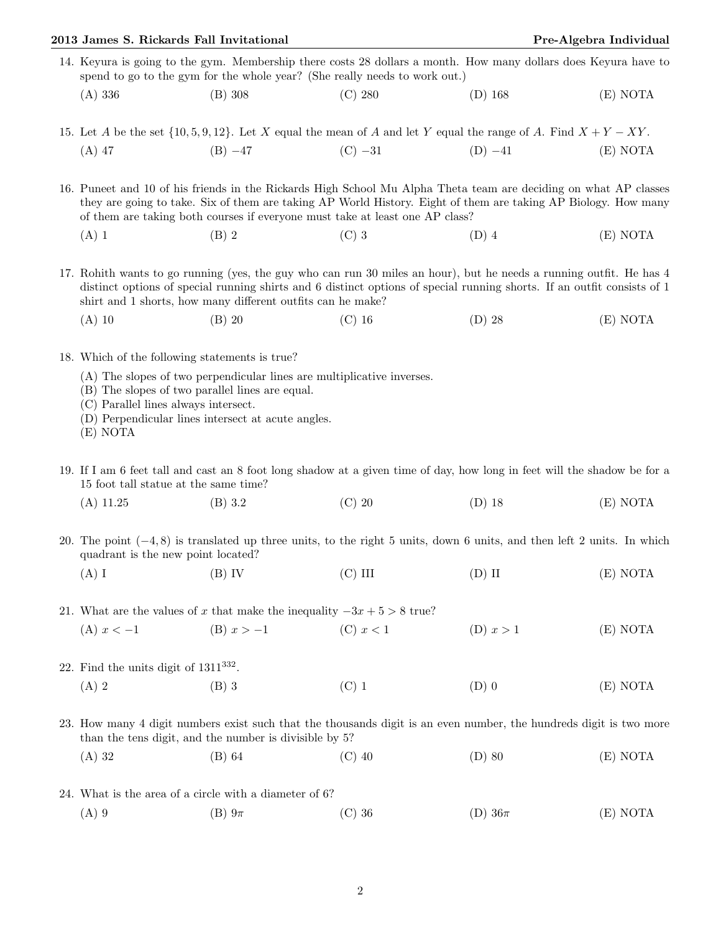## 2013 James S. Rickards Fall Invitational **Pre-Algebra Individual** Pre-Algebra Individual

- 14. Keyura is going to the gym. Membership there costs 28 dollars a month. How many dollars does Keyura have to spend to go to the gym for the whole year? (She really needs to work out.)
	- (A) 336 (B) 308 (C) 280 (D) 168 (E) NOTA
- 15. Let A be the set  $\{10, 5, 9, 12\}$ . Let X equal the mean of A and let Y equal the range of A. Find  $X + Y XY$ . (A) 47 (B) −47 (C) −31 (D) −41 (E) NOTA

16. Puneet and 10 of his friends in the Rickards High School Mu Alpha Theta team are deciding on what AP classes they are going to take. Six of them are taking AP World History. Eight of them are taking AP Biology. How many of them are taking both courses if everyone must take at least one AP class?

(A) 1 (B) 2 (C) 3 (D) 4 (E) NOTA

17. Rohith wants to go running (yes, the guy who can run 30 miles an hour), but he needs a running outfit. He has 4 distinct options of special running shirts and 6 distinct options of special running shorts. If an outfit consists of 1 shirt and 1 shorts, how many different outfits can he make?

- (A) 10 (B) 20 (C) 16 (D) 28 (E) NOTA
- 18. Which of the following statements is true?
	- (A) The slopes of two perpendicular lines are multiplicative inverses.
	- (B) The slopes of two parallel lines are equal.
	- (C) Parallel lines always intersect.
	- (D) Perpendicular lines intersect at acute angles.
	- (E) NOTA
- 19. If I am 6 feet tall and cast an 8 foot long shadow at a given time of day, how long in feet will the shadow be for a 15 foot tall statue at the same time?
	- (A) 11.25 (B) 3.2 (C) 20 (D) 18 (E) NOTA
- 20. The point (−4, 8) is translated up three units, to the right 5 units, down 6 units, and then left 2 units. In which quadrant is the new point located?
	- (A) I (B) IV (C) III (D) II (E) NOTA

21. What are the values of x that make the inequality  $-3x + 5 > 8$  true?

(A) 
$$
x < -1
$$
 \t\t (B)  $x > -1$  \t\t (C)  $x < 1$  \t\t (D)  $x > 1$  \t\t (E) NOTA

- 22. Find the units digit of  $1311^{332}$ .
	- (A) 2 (B) 3 (C) 1 (D) 0 (E) NOTA
- 23. How many 4 digit numbers exist such that the thousands digit is an even number, the hundreds digit is two more than the tens digit, and the number is divisible by 5?
	- (A) 32 (B) 64 (C) 40 (D) 80 (E) NOTA
- 24. What is the area of a circle with a diameter of 6?
	- (A) 9 (B)  $9\pi$  (C) 36 (D)  $36\pi$  (E) NOTA